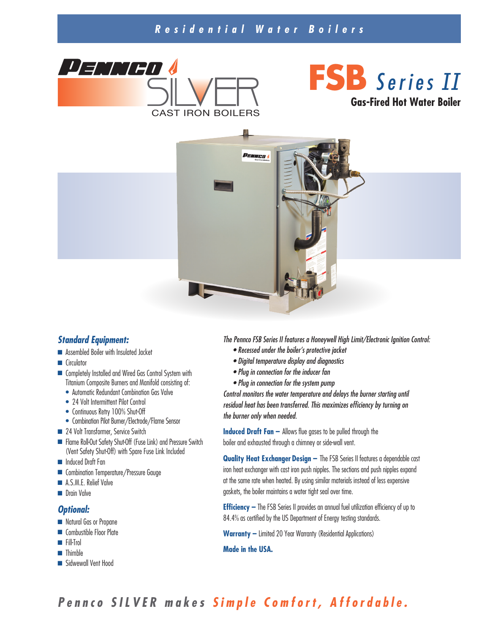## *Residential Water Boilers*



**FSB** *Series*<br>Gas-Fired Hot Water **Gas-Fired Hot Water Boiler** *II*



### *Standard Equipment:*

- **n** Assembled Boiler with Insulated Jacket
- n Circulator
- Completely Installed and Wired Gas Control System with Titanium Composite Burners and Manifold consisting of:
	- Automatic Redundant Combination Gas Valve
	- 24 Volt Intermittent Pilot Control
	- Continuous Retry 100% Shut-Off
	- Combination Pilot Burner/Electrode/Flame Sensor
- 24 Volt Transformer, Service Switch
- Flame Roll-Out Safety Shut-Off (Fuse Link) and Pressure Switch (Vent Safety Shut-Off) with Spare Fuse Link Included
- nduced Draft Fan
- Combination Temperature/Pressure Gauge
- A.S.M.E. Relief Valve
- n Drain Valve

### *Optional:*

- **Natural Gas or Propane**
- **n** Combustible Floor Plate
- n Fill-Trol
- **n** Thimble
- **n** Sidwewall Vent Hood

*The Pennco FSB Series II features a Honeywell High Limit/Electronic Ignition Control:*

- Recessed under the boiler's protective jacket
- Digital temperature display and diagnostics
- Plug in connection for the inducer fan
- Plug in connection for the system pump

Control monitors the water temperature and delays the burner starting until residual heat has been transferred. This maximizes efficiency by turning on the burner only when needed.

**Induced Draft Fan** – Allows flue gases to be pulled through the boiler and exhausted through a chimney or side-wall vent.

**Quality Heat Exchanger Design –** The FSB Series II features a dependable cast iron heat exchanger with cast iron push nipples. The sections and push nipples expand at the same rate when heated. By using similar materials instead of less expensive gaskets, the boiler maintains a water tight seal over time.

**Efficiency** – The FSB Series II provides an annual fuel utilization efficiency of up to 84.4% as certified by the US Department of Energy testing standards.

**Warranty –** Limited 20 Year Warranty (Residential Applications)

**Made in the USA.**